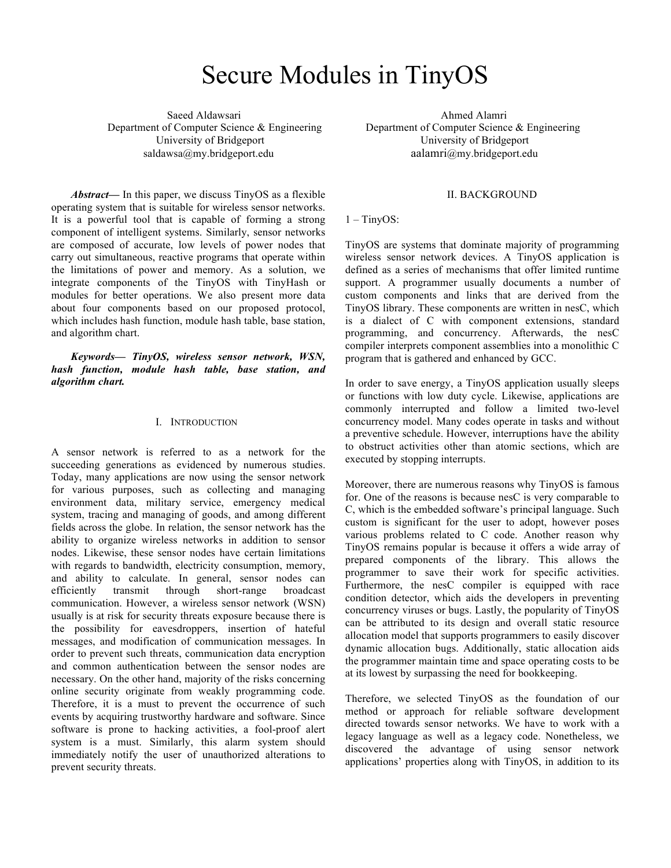# Secure Modules in TinyOS

Saeed Aldawsari Ahmed Alamri University of Bridgeport University of Bridgeport saldawsa@my.bridgeport.edu aalamri@my.bridgeport.edu

*Abstract***—** In this paper, we discuss TinyOS as a flexible operating system that is suitable for wireless sensor networks. It is a powerful tool that is capable of forming a strong component of intelligent systems. Similarly, sensor networks are composed of accurate, low levels of power nodes that carry out simultaneous, reactive programs that operate within the limitations of power and memory. As a solution, we integrate components of the TinyOS with TinyHash or modules for better operations. We also present more data about four components based on our proposed protocol, which includes hash function, module hash table, base station, and algorithm chart.

*Keywords— TinyOS, wireless sensor network, WSN, hash function, module hash table, base station, and algorithm chart.*

## I. INTRODUCTION

A sensor network is referred to as a network for the succeeding generations as evidenced by numerous studies. Today, many applications are now using the sensor network for various purposes, such as collecting and managing environment data, military service, emergency medical system, tracing and managing of goods, and among different fields across the globe. In relation, the sensor network has the ability to organize wireless networks in addition to sensor nodes. Likewise, these sensor nodes have certain limitations with regards to bandwidth, electricity consumption, memory, and ability to calculate. In general, sensor nodes can efficiently transmit through short-range broadcast communication. However, a wireless sensor network (WSN) usually is at risk for security threats exposure because there is the possibility for eavesdroppers, insertion of hateful messages, and modification of communication messages. In order to prevent such threats, communication data encryption and common authentication between the sensor nodes are necessary. On the other hand, majority of the risks concerning online security originate from weakly programming code. Therefore, it is a must to prevent the occurrence of such events by acquiring trustworthy hardware and software. Since software is prone to hacking activities, a fool-proof alert system is a must. Similarly, this alarm system should immediately notify the user of unauthorized alterations to prevent security threats.

Department of Computer Science & Engineering Department of Computer Science & Engineering

# II. BACKGROUND

#### $1 -$ TinyOS:

TinyOS are systems that dominate majority of programming wireless sensor network devices. A TinyOS application is defined as a series of mechanisms that offer limited runtime support. A programmer usually documents a number of custom components and links that are derived from the TinyOS library. These components are written in nesC, which is a dialect of C with component extensions, standard programming, and concurrency. Afterwards, the nesC compiler interprets component assemblies into a monolithic C program that is gathered and enhanced by GCC.

In order to save energy, a TinyOS application usually sleeps or functions with low duty cycle. Likewise, applications are commonly interrupted and follow a limited two-level concurrency model. Many codes operate in tasks and without a preventive schedule. However, interruptions have the ability to obstruct activities other than atomic sections, which are executed by stopping interrupts.

Moreover, there are numerous reasons why TinyOS is famous for. One of the reasons is because nesC is very comparable to C, which is the embedded software's principal language. Such custom is significant for the user to adopt, however poses various problems related to C code. Another reason why TinyOS remains popular is because it offers a wide array of prepared components of the library. This allows the programmer to save their work for specific activities. Furthermore, the nesC compiler is equipped with race condition detector, which aids the developers in preventing concurrency viruses or bugs. Lastly, the popularity of TinyOS can be attributed to its design and overall static resource allocation model that supports programmers to easily discover dynamic allocation bugs. Additionally, static allocation aids the programmer maintain time and space operating costs to be at its lowest by surpassing the need for bookkeeping.

Therefore, we selected TinyOS as the foundation of our method or approach for reliable software development directed towards sensor networks. We have to work with a legacy language as well as a legacy code. Nonetheless, we discovered the advantage of using sensor network applications' properties along with TinyOS, in addition to its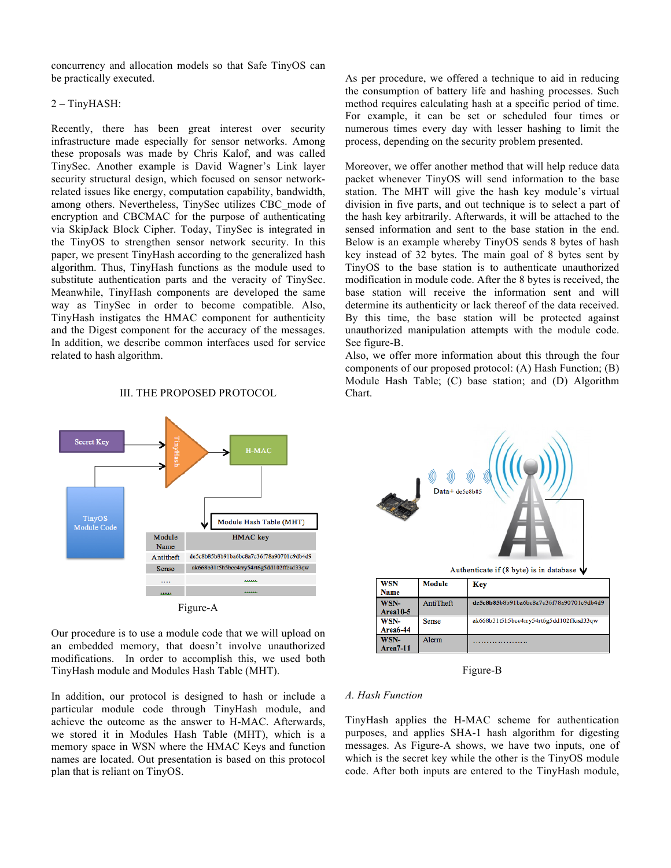concurrency and allocation models so that Safe TinyOS can be practically executed.

## 2 – TinyHASH:

Recently, there has been great interest over security infrastructure made especially for sensor networks. Among these proposals was made by Chris Kalof, and was called TinySec. Another example is David Wagner's Link layer security structural design, which focused on sensor networkrelated issues like energy, computation capability, bandwidth, among others. Nevertheless, TinySec utilizes CBC mode of encryption and CBCMAC for the purpose of authenticating via SkipJack Block Cipher. Today, TinySec is integrated in the TinyOS to strengthen sensor network security. In this paper, we present TinyHash according to the generalized hash algorithm. Thus, TinyHash functions as the module used to substitute authentication parts and the veracity of TinySec. Meanwhile, TinyHash components are developed the same way as TinySec in order to become compatible. Also, TinyHash instigates the HMAC component for authenticity and the Digest component for the accuracy of the messages. In addition, we describe common interfaces used for service related to hash algorithm.

#### III. THE PROPOSED PROTOCOL



Our procedure is to use a module code that we will upload on an embedded memory, that doesn't involve unauthorized modifications. In order to accomplish this, we used both TinyHash module and Modules Hash Table (MHT).

In addition, our protocol is designed to hash or include a particular module code through TinyHash module, and achieve the outcome as the answer to H-MAC. Afterwards, we stored it in Modules Hash Table (MHT), which is a memory space in WSN where the HMAC Keys and function names are located. Out presentation is based on this protocol plan that is reliant on TinyOS.

As per procedure, we offered a technique to aid in reducing the consumption of battery life and hashing processes. Such method requires calculating hash at a specific period of time. For example, it can be set or scheduled four times or numerous times every day with lesser hashing to limit the process, depending on the security problem presented.

Moreover, we offer another method that will help reduce data packet whenever TinyOS will send information to the base station. The MHT will give the hash key module's virtual division in five parts, and out technique is to select a part of the hash key arbitrarily. Afterwards, it will be attached to the sensed information and sent to the base station in the end. Below is an example whereby TinyOS sends 8 bytes of hash key instead of 32 bytes. The main goal of 8 bytes sent by TinyOS to the base station is to authenticate unauthorized modification in module code. After the 8 bytes is received, the base station will receive the information sent and will determine its authenticity or lack thereof of the data received. By this time, the base station will be protected against unauthorized manipulation attempts with the module code. See figure-B.

Also, we offer more information about this through the four components of our proposed protocol: (A) Hash Function; (B) Module Hash Table; (C) base station; and (D) Algorithm Chart.



Figure-B

### *A. Hash Function*

TinyHash applies the H-MAC scheme for authentication purposes, and applies SHA-1 hash algorithm for digesting messages. As Figure-A shows, we have two inputs, one of which is the secret key while the other is the TinyOS module code. After both inputs are entered to the TinyHash module,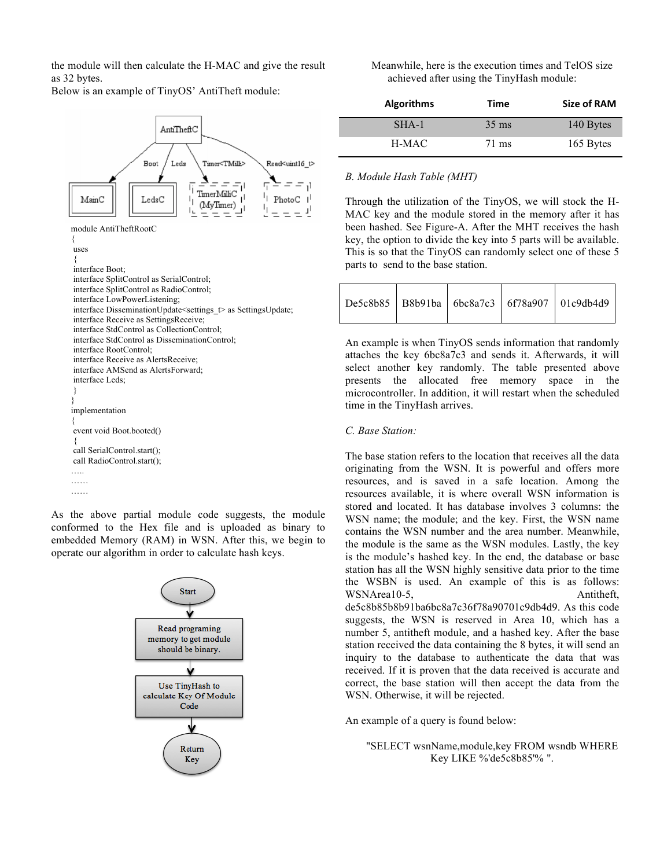the module will then calculate the H-MAC and give the result as 32 bytes.

Below is an example of TinyOS' AntiTheft module:



As the above partial module code suggests, the module conformed to the Hex file and is uploaded as binary to embedded Memory (RAM) in WSN. After this, we begin to operate our algorithm in order to calculate hash keys.



Meanwhile, here is the execution times and TelOS size achieved after using the TinyHash module:

| <b>Algorithms</b> | Time            | Size of RAM |
|-------------------|-----------------|-------------|
| SHA-1             | $35 \text{ ms}$ | 140 Bytes   |
| H-MAC             | 71 ms           | 165 Bytes   |

# *B. Module Hash Table (MHT)*

Through the utilization of the TinyOS, we will stock the H-MAC key and the module stored in the memory after it has been hashed. See Figure-A. After the MHT receives the hash key, the option to divide the key into 5 parts will be available. This is so that the TinyOS can randomly select one of these 5 parts to send to the base station.

|  |  | De5c8b85   B8b91ba   6bc8a7c3   6f78a907   01c9db4d9 |
|--|--|------------------------------------------------------|
|  |  |                                                      |

An example is when TinyOS sends information that randomly attaches the key 6bc8a7c3 and sends it. Afterwards, it will select another key randomly. The table presented above presents the allocated free memory space in the microcontroller. In addition, it will restart when the scheduled time in the TinyHash arrives.

# *C. Base Station:*

The base station refers to the location that receives all the data originating from the WSN. It is powerful and offers more resources, and is saved in a safe location. Among the resources available, it is where overall WSN information is stored and located. It has database involves 3 columns: the WSN name; the module; and the key. First, the WSN name contains the WSN number and the area number. Meanwhile, the module is the same as the WSN modules. Lastly, the key is the module's hashed key. In the end, the database or base station has all the WSN highly sensitive data prior to the time the WSBN is used. An example of this is as follows: WSNArea10-5, Antitheft, de5c8b85b8b91ba6bc8a7c36f78a90701c9db4d9. As this code suggests, the WSN is reserved in Area 10, which has a number 5, antitheft module, and a hashed key. After the base station received the data containing the 8 bytes, it will send an inquiry to the database to authenticate the data that was received. If it is proven that the data received is accurate and correct, the base station will then accept the data from the WSN. Otherwise, it will be rejected.

An example of a query is found below:

"SELECT wsnName,module,key FROM wsndb WHERE Key LIKE %'de5c8b85'% ".